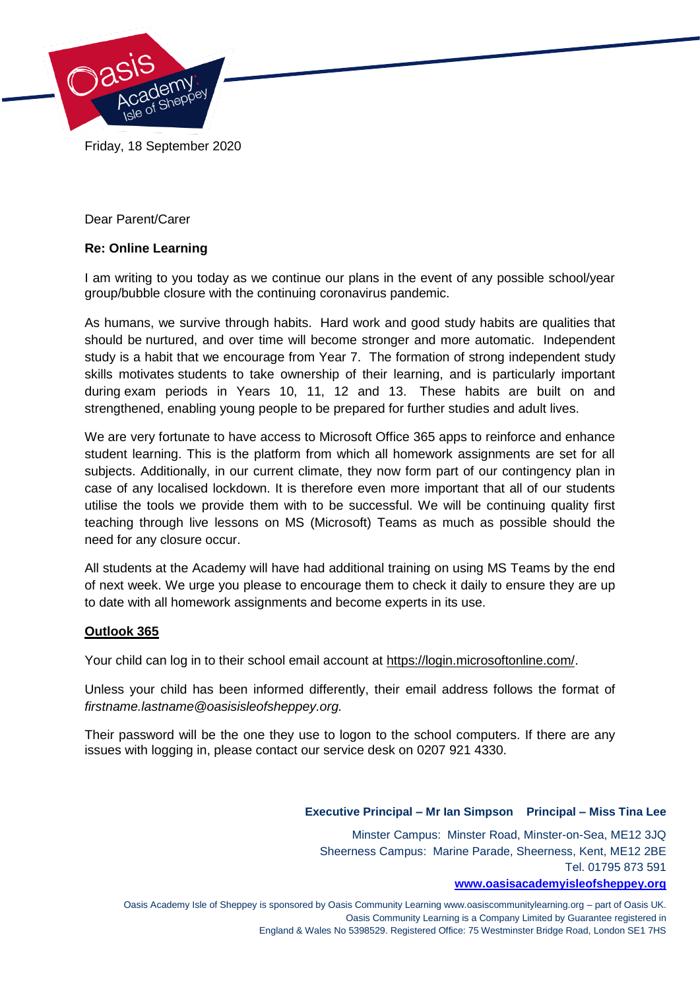

Friday, 18 September 2020

Dear Parent/Carer

# **Re: Online Learning**

I am writing to you today as we continue our plans in the event of any possible school/year group/bubble closure with the continuing coronavirus pandemic.

As humans, we survive through habits. Hard work and good study habits are qualities that should be nurtured, and over time will become stronger and more automatic. Independent study is a habit that we encourage from Year 7. The formation of strong independent study skills motivates students to take ownership of their learning, and is particularly important during exam periods in Years 10, 11, 12 and 13. These habits are built on and strengthened, enabling young people to be prepared for further studies and adult lives.

We are very fortunate to have access to Microsoft Office 365 apps to reinforce and enhance student learning. This is the platform from which all homework assignments are set for all subjects. Additionally, in our current climate, they now form part of our contingency plan in case of any localised lockdown. It is therefore even more important that all of our students utilise the tools we provide them with to be successful. We will be continuing quality first teaching through live lessons on MS (Microsoft) Teams as much as possible should the need for any closure occur.

All students at the Academy will have had additional training on using MS Teams by the end of next week. We urge you please to encourage them to check it daily to ensure they are up to date with all homework assignments and become experts in its use.

## **Outlook 365**

Your child can log in to their school email account at [https://login.microsoftonline.com/.](https://login.microsoftonline.com/)

Unless your child has been informed differently, their email address follows the format of *firstname.lastname@oasisisleofsheppey.org.*

Their password will be the one they use to logon to the school computers. If there are any issues with logging in, please contact our service desk on 0207 921 4330.

## **Executive Principal – Mr Ian Simpson Principal – Miss Tina Lee**

Minster Campus: Minster Road, Minster-on-Sea, ME12 3JQ Sheerness Campus: Marine Parade, Sheerness, Kent, ME12 2BE Tel. 01795 873 591

#### **[www.oasisacademyisleofsheppey.org](http://www.oasisacademyisleofsheppey.org/)**